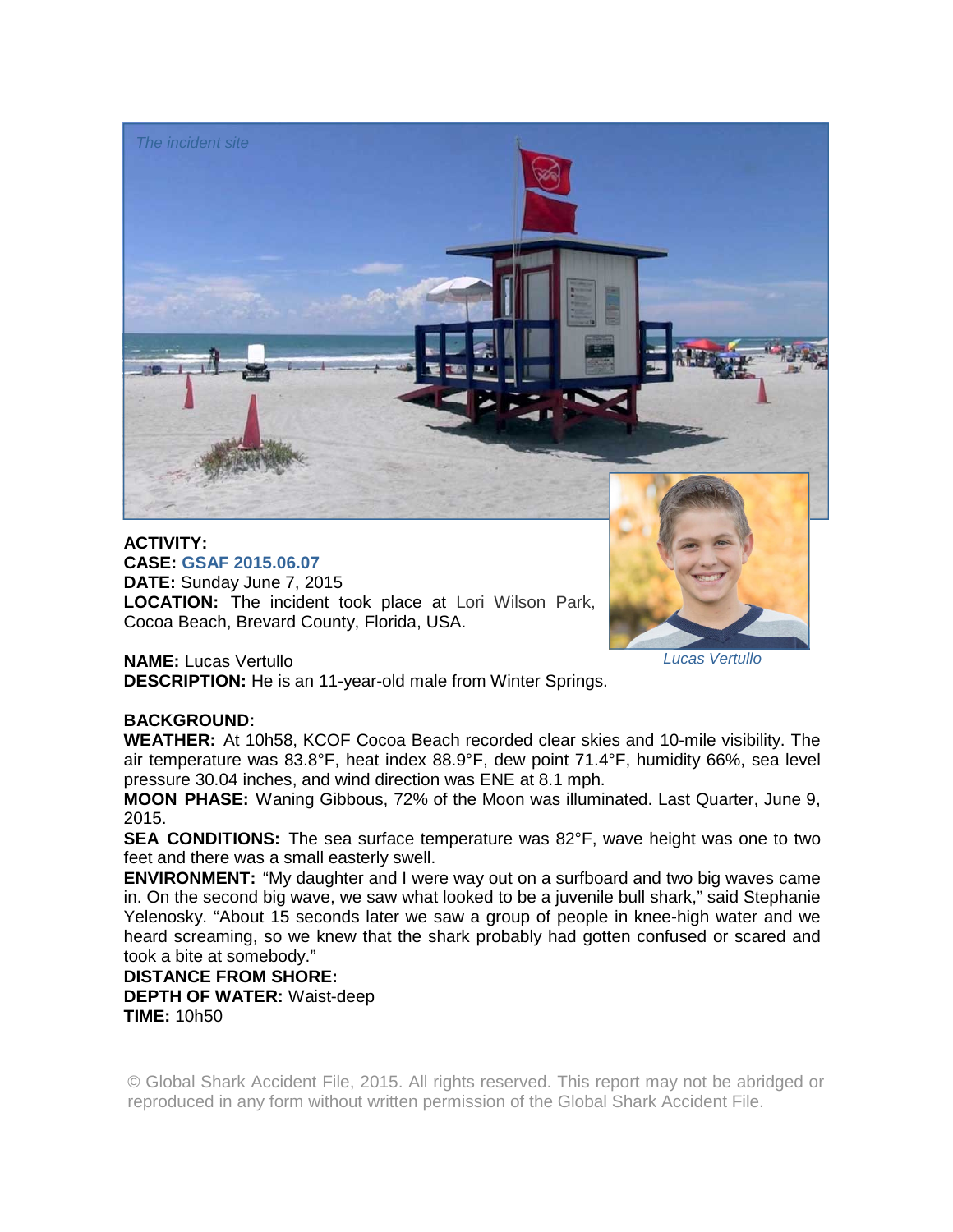

**CASE: GSAF 2015.06.07 DATE:** Sunday June 7, 2015 **LOCATION:** The incident took place at Lori Wilson Park, Cocoa Beach, Brevard County, Florida, USA.

*Lucas Vertullo* 

**NAME:** Lucas Vertullo

**DESCRIPTION:** He is an 11-year-old male from Winter Springs.

## **BACKGROUND:**

**WEATHER:** At 10h58, KCOF Cocoa Beach recorded clear skies and 10-mile visibility. The air temperature was 83.8°F, heat index 88.9°F, dew point 71.4°F, humidity 66%, sea level pressure 30.04 inches, and wind direction was ENE at 8.1 mph.

**MOON PHASE:** Waning Gibbous, 72% of the Moon was illuminated. Last Quarter, June 9, 2015.

**SEA CONDITIONS:** The sea surface temperature was 82°F, wave height was one to two feet and there was a small easterly swell.

**ENVIRONMENT:** "My daughter and I were way out on a surfboard and two big waves came in. On the second big wave, we saw what looked to be a juvenile bull shark," said Stephanie Yelenosky. "About 15 seconds later we saw a group of people in knee-high water and we heard screaming, so we knew that the shark probably had gotten confused or scared and took a bite at somebody."

## **DISTANCE FROM SHORE: DEPTH OF WATER:** Waist-deep

**TIME:** 10h50

© Global Shark Accident File, 2015. All rights reserved. This report may not be abridged or reproduced in any form without written permission of the Global Shark Accident File.